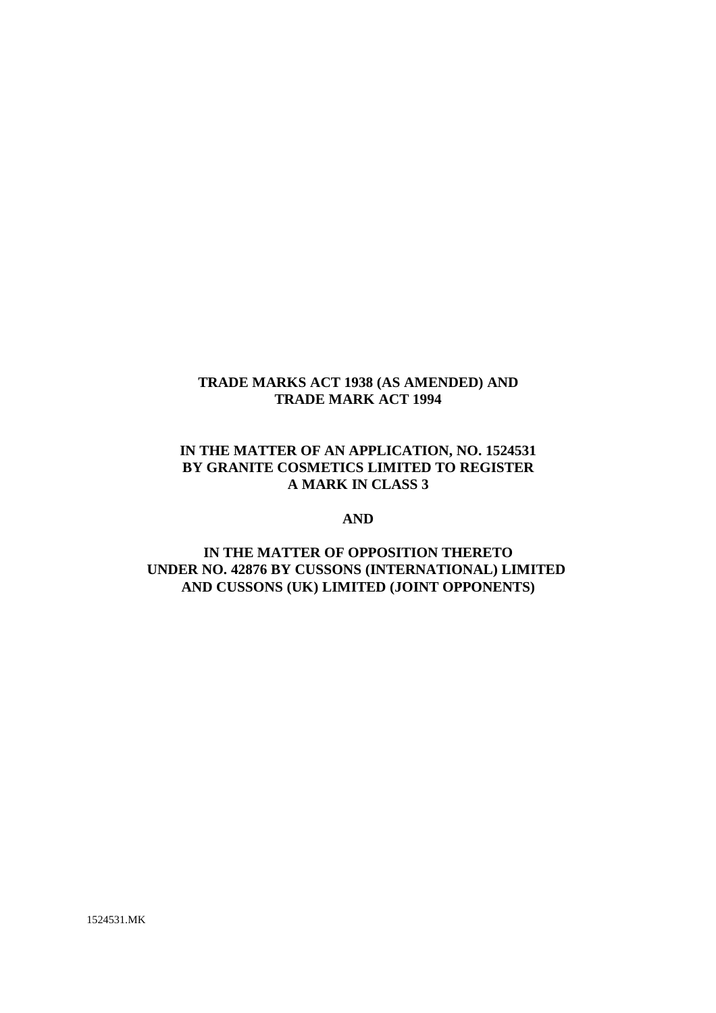### **TRADE MARKS ACT 1938 (AS AMENDED) AND TRADE MARK ACT 1994**

## **IN THE MATTER OF AN APPLICATION, NO. 1524531 BY GRANITE COSMETICS LIMITED TO REGISTER A MARK IN CLASS 3**

#### **AND**

# **IN THE MATTER OF OPPOSITION THERETO UNDER NO. 42876 BY CUSSONS (INTERNATIONAL) LIMITED AND CUSSONS (UK) LIMITED (JOINT OPPONENTS)**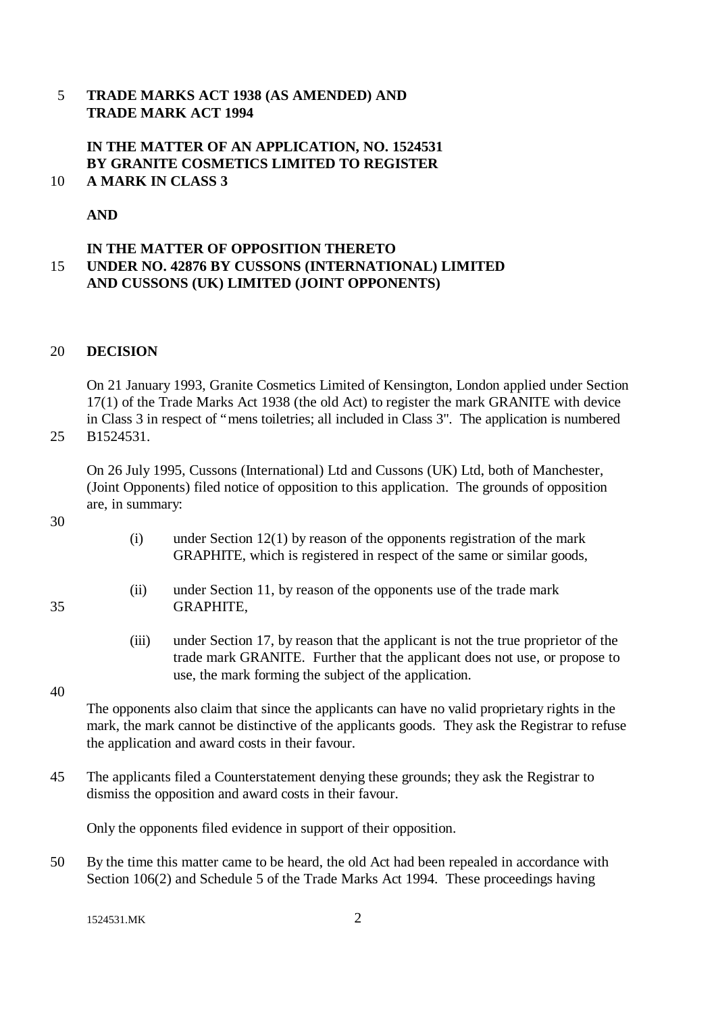### 5 **TRADE MARKS ACT 1938 (AS AMENDED) AND TRADE MARK ACT 1994**

#### **IN THE MATTER OF AN APPLICATION, NO. 1524531 BY GRANITE COSMETICS LIMITED TO REGISTER** 10 **A MARK IN CLASS 3**

## **AND**

### **IN THE MATTER OF OPPOSITION THERETO** 15 **UNDER NO. 42876 BY CUSSONS (INTERNATIONAL) LIMITED AND CUSSONS (UK) LIMITED (JOINT OPPONENTS)**

#### 20 **DECISION**

On 21 January 1993, Granite Cosmetics Limited of Kensington, London applied under Section 17(1) of the Trade Marks Act 1938 (the old Act) to register the mark GRANITE with device in Class 3 in respect of "mens toiletries; all included in Class 3". The application is numbered

25 B1524531.

On 26 July 1995, Cussons (International) Ltd and Cussons (UK) Ltd, both of Manchester, (Joint Opponents) filed notice of opposition to this application. The grounds of opposition are, in summary:

- 30
- (i) under Section  $12(1)$  by reason of the opponents registration of the mark GRAPHITE, which is registered in respect of the same or similar goods,
- (ii) under Section 11, by reason of the opponents use of the trade mark 35 GRAPHITE,
	- (iii) under Section 17, by reason that the applicant is not the true proprietor of the trade mark GRANITE. Further that the applicant does not use, or propose to use, the mark forming the subject of the application.

#### 40

The opponents also claim that since the applicants can have no valid proprietary rights in the mark, the mark cannot be distinctive of the applicants goods. They ask the Registrar to refuse the application and award costs in their favour.

45 The applicants filed a Counterstatement denying these grounds; they ask the Registrar to dismiss the opposition and award costs in their favour.

Only the opponents filed evidence in support of their opposition.

50 By the time this matter came to be heard, the old Act had been repealed in accordance with Section 106(2) and Schedule 5 of the Trade Marks Act 1994. These proceedings having

1524531.MK 2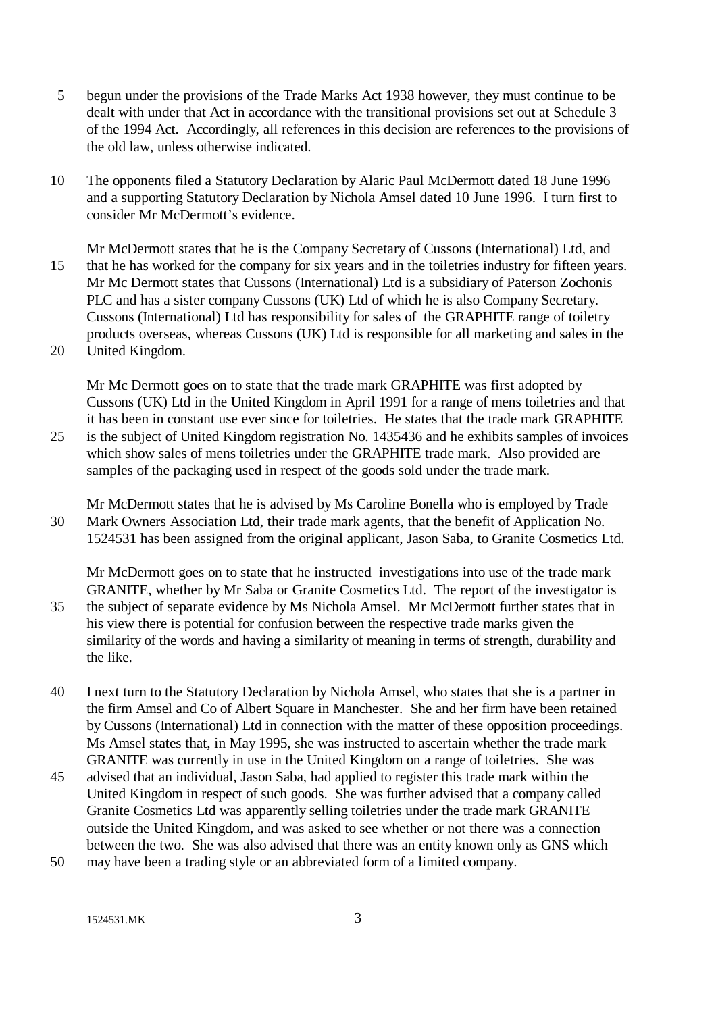- 5 begun under the provisions of the Trade Marks Act 1938 however, they must continue to be dealt with under that Act in accordance with the transitional provisions set out at Schedule 3 of the 1994 Act. Accordingly, all references in this decision are references to the provisions of the old law, unless otherwise indicated.
- 10 The opponents filed a Statutory Declaration by Alaric Paul McDermott dated 18 June 1996 and a supporting Statutory Declaration by Nichola Amsel dated 10 June 1996. I turn first to consider Mr McDermott's evidence.

Mr McDermott states that he is the Company Secretary of Cussons (International) Ltd, and 15 that he has worked for the company for six years and in the toiletries industry for fifteen years. Mr Mc Dermott states that Cussons (International) Ltd is a subsidiary of Paterson Zochonis PLC and has a sister company Cussons (UK) Ltd of which he is also Company Secretary. Cussons (International) Ltd has responsibility for sales of the GRAPHITE range of toiletry products overseas, whereas Cussons (UK) Ltd is responsible for all marketing and sales in the

20 United Kingdom.

Mr Mc Dermott goes on to state that the trade mark GRAPHITE was first adopted by Cussons (UK) Ltd in the United Kingdom in April 1991 for a range of mens toiletries and that it has been in constant use ever since for toiletries. He states that the trade mark GRAPHITE

25 is the subject of United Kingdom registration No. 1435436 and he exhibits samples of invoices which show sales of mens toiletries under the GRAPHITE trade mark. Also provided are samples of the packaging used in respect of the goods sold under the trade mark.

Mr McDermott states that he is advised by Ms Caroline Bonella who is employed by Trade 30 Mark Owners Association Ltd, their trade mark agents, that the benefit of Application No. 1524531 has been assigned from the original applicant, Jason Saba, to Granite Cosmetics Ltd.

Mr McDermott goes on to state that he instructed investigations into use of the trade mark GRANITE, whether by Mr Saba or Granite Cosmetics Ltd. The report of the investigator is 35 the subject of separate evidence by Ms Nichola Amsel. Mr McDermott further states that in his view there is potential for confusion between the respective trade marks given the similarity of the words and having a similarity of meaning in terms of strength, durability and the like.

- 40 I next turn to the Statutory Declaration by Nichola Amsel, who states that she is a partner in the firm Amsel and Co of Albert Square in Manchester. She and her firm have been retained by Cussons (International) Ltd in connection with the matter of these opposition proceedings. Ms Amsel states that, in May 1995, she was instructed to ascertain whether the trade mark GRANITE was currently in use in the United Kingdom on a range of toiletries. She was
- 45 advised that an individual, Jason Saba, had applied to register this trade mark within the United Kingdom in respect of such goods. She was further advised that a company called Granite Cosmetics Ltd was apparently selling toiletries under the trade mark GRANITE outside the United Kingdom, and was asked to see whether or not there was a connection between the two. She was also advised that there was an entity known only as GNS which
- 50 may have been a trading style or an abbreviated form of a limited company.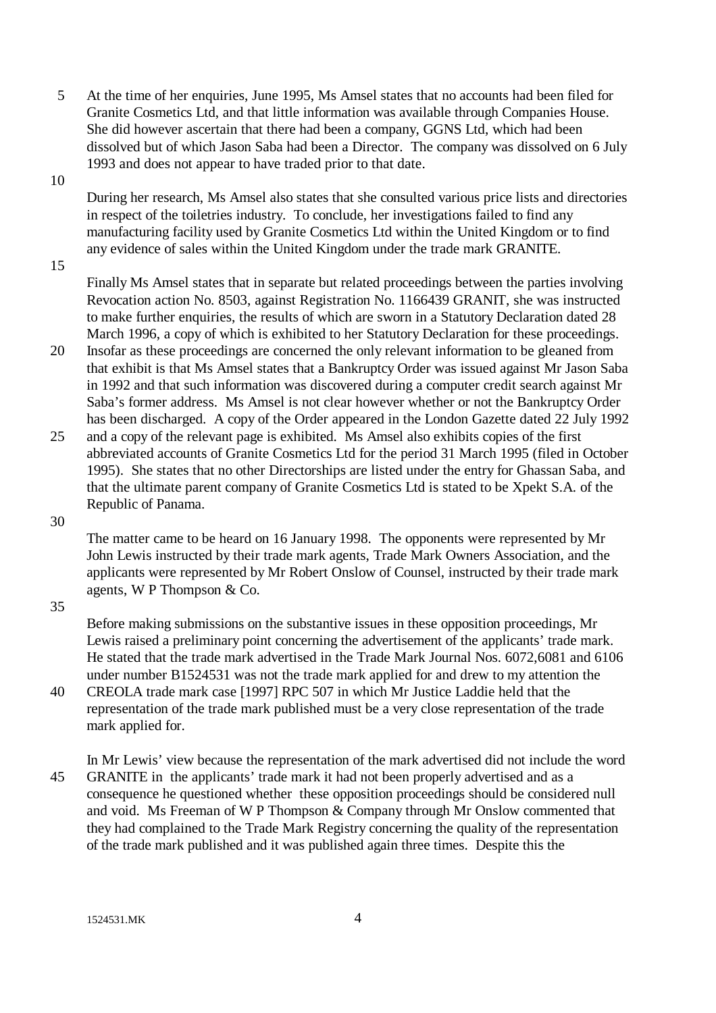5 At the time of her enquiries, June 1995, Ms Amsel states that no accounts had been filed for Granite Cosmetics Ltd, and that little information was available through Companies House. She did however ascertain that there had been a company, GGNS Ltd, which had been dissolved but of which Jason Saba had been a Director. The company was dissolved on 6 July 1993 and does not appear to have traded prior to that date.

10

During her research, Ms Amsel also states that she consulted various price lists and directories in respect of the toiletries industry. To conclude, her investigations failed to find any manufacturing facility used by Granite Cosmetics Ltd within the United Kingdom or to find any evidence of sales within the United Kingdom under the trade mark GRANITE.

15

Finally Ms Amsel states that in separate but related proceedings between the parties involving Revocation action No. 8503, against Registration No. 1166439 GRANIT, she was instructed to make further enquiries, the results of which are sworn in a Statutory Declaration dated 28 March 1996, a copy of which is exhibited to her Statutory Declaration for these proceedings.

- 20 Insofar as these proceedings are concerned the only relevant information to be gleaned from that exhibit is that Ms Amsel states that a Bankruptcy Order was issued against Mr Jason Saba in 1992 and that such information was discovered during a computer credit search against Mr Saba's former address. Ms Amsel is not clear however whether or not the Bankruptcy Order has been discharged. A copy of the Order appeared in the London Gazette dated 22 July 1992
- 25 and a copy of the relevant page is exhibited. Ms Amsel also exhibits copies of the first abbreviated accounts of Granite Cosmetics Ltd for the period 31 March 1995 (filed in October 1995). She states that no other Directorships are listed under the entry for Ghassan Saba, and that the ultimate parent company of Granite Cosmetics Ltd is stated to be Xpekt S.A. of the Republic of Panama.

30

The matter came to be heard on 16 January 1998. The opponents were represented by Mr John Lewis instructed by their trade mark agents, Trade Mark Owners Association, and the applicants were represented by Mr Robert Onslow of Counsel, instructed by their trade mark agents, W P Thompson & Co.

35

Before making submissions on the substantive issues in these opposition proceedings, Mr Lewis raised a preliminary point concerning the advertisement of the applicants' trade mark. He stated that the trade mark advertised in the Trade Mark Journal Nos. 6072,6081 and 6106 under number B1524531 was not the trade mark applied for and drew to my attention the

- 40 CREOLA trade mark case [1997] RPC 507 in which Mr Justice Laddie held that the representation of the trade mark published must be a very close representation of the trade mark applied for.
- In Mr Lewis' view because the representation of the mark advertised did not include the word 45 GRANITE in the applicants' trade mark it had not been properly advertised and as a consequence he questioned whether these opposition proceedings should be considered null and void. Ms Freeman of W P Thompson & Company through Mr Onslow commented that they had complained to the Trade Mark Registry concerning the quality of the representation of the trade mark published and it was published again three times. Despite this the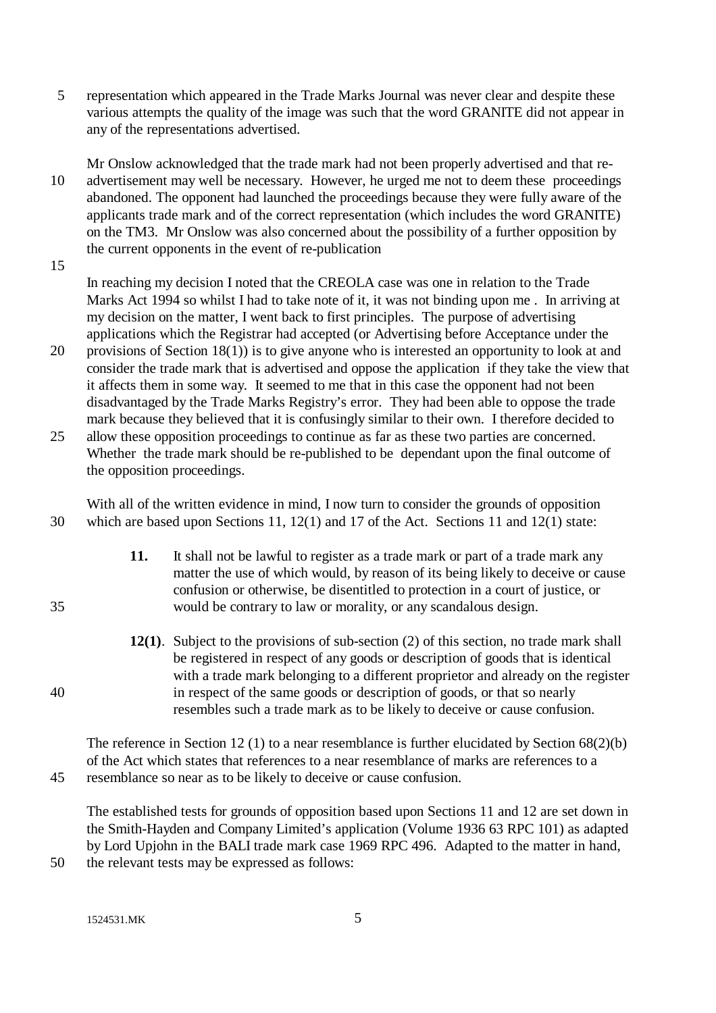5 representation which appeared in the Trade Marks Journal was never clear and despite these various attempts the quality of the image was such that the word GRANITE did not appear in any of the representations advertised.

Mr Onslow acknowledged that the trade mark had not been properly advertised and that re-10 advertisement may well be necessary. However, he urged me not to deem these proceedings abandoned. The opponent had launched the proceedings because they were fully aware of the applicants trade mark and of the correct representation (which includes the word GRANITE) on the TM3. Mr Onslow was also concerned about the possibility of a further opposition by the current opponents in the event of re-publication

15

In reaching my decision I noted that the CREOLA case was one in relation to the Trade Marks Act 1994 so whilst I had to take note of it, it was not binding upon me . In arriving at my decision on the matter, I went back to first principles. The purpose of advertising applications which the Registrar had accepted (or Advertising before Acceptance under the

- 20 provisions of Section 18(1)) is to give anyone who is interested an opportunity to look at and consider the trade mark that is advertised and oppose the application if they take the view that it affects them in some way. It seemed to me that in this case the opponent had not been disadvantaged by the Trade Marks Registry's error. They had been able to oppose the trade mark because they believed that it is confusingly similar to their own. I therefore decided to
- 25 allow these opposition proceedings to continue as far as these two parties are concerned. Whether the trade mark should be re-published to be dependant upon the final outcome of the opposition proceedings.

With all of the written evidence in mind, I now turn to consider the grounds of opposition 30 which are based upon Sections 11, 12(1) and 17 of the Act. Sections 11 and 12(1) state:

- **11.** It shall not be lawful to register as a trade mark or part of a trade mark any matter the use of which would, by reason of its being likely to deceive or cause confusion or otherwise, be disentitled to protection in a court of justice, or 35 would be contrary to law or morality, or any scandalous design.
- **12(1)**. Subject to the provisions of sub-section (2) of this section, no trade mark shall be registered in respect of any goods or description of goods that is identical with a trade mark belonging to a different proprietor and already on the register 40 in respect of the same goods or description of goods, or that so nearly resembles such a trade mark as to be likely to deceive or cause confusion.

The reference in Section 12 (1) to a near resemblance is further elucidated by Section 68(2)(b) of the Act which states that references to a near resemblance of marks are references to a 45 resemblance so near as to be likely to deceive or cause confusion.

The established tests for grounds of opposition based upon Sections 11 and 12 are set down in the Smith-Hayden and Company Limited's application (Volume 1936 63 RPC 101) as adapted by Lord Upjohn in the BALI trade mark case 1969 RPC 496. Adapted to the matter in hand,

50 the relevant tests may be expressed as follows:

1524531.MK 5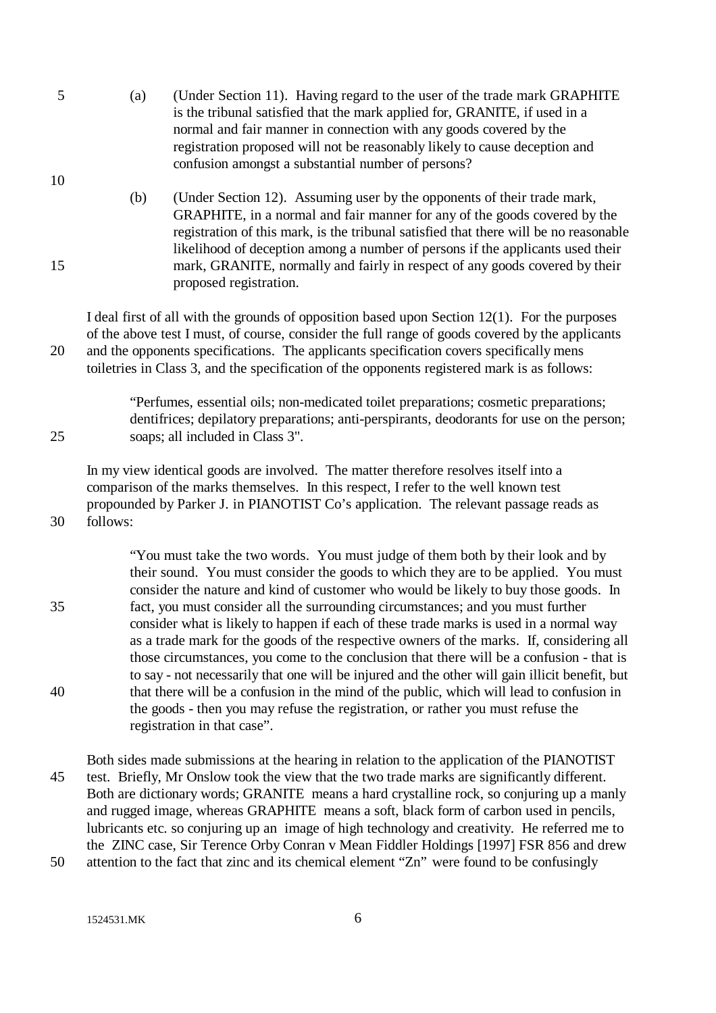| 5 | (a) | (Under Section 11). Having regard to the user of the trade mark GRAPHITE   |
|---|-----|----------------------------------------------------------------------------|
|   |     | is the tribunal satisfied that the mark applied for, GRANITE, if used in a |
|   |     | normal and fair manner in connection with any goods covered by the         |
|   |     | registration proposed will not be reasonably likely to cause deception and |
|   |     | confusion amongst a substantial number of persons?                         |

(b) (Under Section 12). Assuming user by the opponents of their trade mark, GRAPHITE, in a normal and fair manner for any of the goods covered by the registration of this mark, is the tribunal satisfied that there will be no reasonable likelihood of deception among a number of persons if the applicants used their 15 mark, GRANITE, normally and fairly in respect of any goods covered by their proposed registration.

I deal first of all with the grounds of opposition based upon Section 12(1). For the purposes of the above test I must, of course, consider the full range of goods covered by the applicants 20 and the opponents specifications. The applicants specification covers specifically mens toiletries in Class 3, and the specification of the opponents registered mark is as follows:

"Perfumes, essential oils; non-medicated toilet preparations; cosmetic preparations; dentifrices; depilatory preparations; anti-perspirants, deodorants for use on the person; 25 soaps; all included in Class 3".

In my view identical goods are involved. The matter therefore resolves itself into a comparison of the marks themselves. In this respect, I refer to the well known test propounded by Parker J. in PIANOTIST Co's application. The relevant passage reads as 30 follows:

"You must take the two words. You must judge of them both by their look and by their sound. You must consider the goods to which they are to be applied. You must consider the nature and kind of customer who would be likely to buy those goods. In 35 fact, you must consider all the surrounding circumstances; and you must further consider what is likely to happen if each of these trade marks is used in a normal way as a trade mark for the goods of the respective owners of the marks. If, considering all those circumstances, you come to the conclusion that there will be a confusion - that is to say - not necessarily that one will be injured and the other will gain illicit benefit, but 40 that there will be a confusion in the mind of the public, which will lead to confusion in the goods - then you may refuse the registration, or rather you must refuse the registration in that case".

Both sides made submissions at the hearing in relation to the application of the PIANOTIST 45 test. Briefly, Mr Onslow took the view that the two trade marks are significantly different. Both are dictionary words; GRANITE means a hard crystalline rock, so conjuring up a manly and rugged image, whereas GRAPHITE means a soft, black form of carbon used in pencils, lubricants etc. so conjuring up an image of high technology and creativity. He referred me to the ZINC case, Sir Terence Orby Conran v Mean Fiddler Holdings [1997] FSR 856 and drew 50 attention to the fact that zinc and its chemical element "Zn" were found to be confusingly

1524531.MK 6

10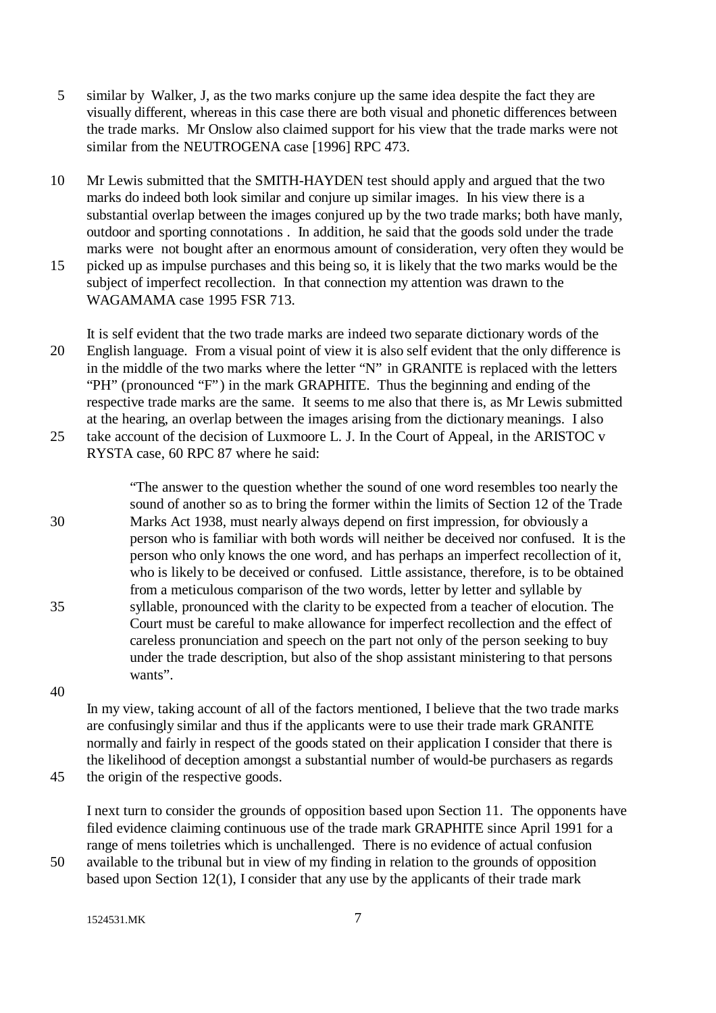- 5 similar by Walker, J, as the two marks conjure up the same idea despite the fact they are visually different, whereas in this case there are both visual and phonetic differences between the trade marks. Mr Onslow also claimed support for his view that the trade marks were not similar from the NEUTROGENA case [1996] RPC 473.
- 10 Mr Lewis submitted that the SMITH-HAYDEN test should apply and argued that the two marks do indeed both look similar and conjure up similar images. In his view there is a substantial overlap between the images conjured up by the two trade marks; both have manly, outdoor and sporting connotations . In addition, he said that the goods sold under the trade marks were not bought after an enormous amount of consideration, very often they would be 15 picked up as impulse purchases and this being so, it is likely that the two marks would be the
- subject of imperfect recollection. In that connection my attention was drawn to the WAGAMAMA case 1995 FSR 713.
- It is self evident that the two trade marks are indeed two separate dictionary words of the 20 English language. From a visual point of view it is also self evident that the only difference is in the middle of the two marks where the letter "N" in GRANITE is replaced with the letters "PH" (pronounced "F") in the mark GRAPHITE. Thus the beginning and ending of the respective trade marks are the same. It seems to me also that there is, as Mr Lewis submitted at the hearing, an overlap between the images arising from the dictionary meanings. I also 25 take account of the decision of Luxmoore L. J. In the Court of Appeal, in the ARISTOC v RYSTA case, 60 RPC 87 where he said:

"The answer to the question whether the sound of one word resembles too nearly the sound of another so as to bring the former within the limits of Section 12 of the Trade 30 Marks Act 1938, must nearly always depend on first impression, for obviously a person who is familiar with both words will neither be deceived nor confused. It is the person who only knows the one word, and has perhaps an imperfect recollection of it, who is likely to be deceived or confused. Little assistance, therefore, is to be obtained from a meticulous comparison of the two words, letter by letter and syllable by 35 syllable, pronounced with the clarity to be expected from a teacher of elocution. The Court must be careful to make allowance for imperfect recollection and the effect of careless pronunciation and speech on the part not only of the person seeking to buy under the trade description, but also of the shop assistant ministering to that persons wants".

40

In my view, taking account of all of the factors mentioned, I believe that the two trade marks are confusingly similar and thus if the applicants were to use their trade mark GRANITE normally and fairly in respect of the goods stated on their application I consider that there is the likelihood of deception amongst a substantial number of would-be purchasers as regards 45 the origin of the respective goods.

I next turn to consider the grounds of opposition based upon Section 11. The opponents have filed evidence claiming continuous use of the trade mark GRAPHITE since April 1991 for a range of mens toiletries which is unchallenged. There is no evidence of actual confusion

50 available to the tribunal but in view of my finding in relation to the grounds of opposition based upon Section 12(1), I consider that any use by the applicants of their trade mark

1524531.MK 7